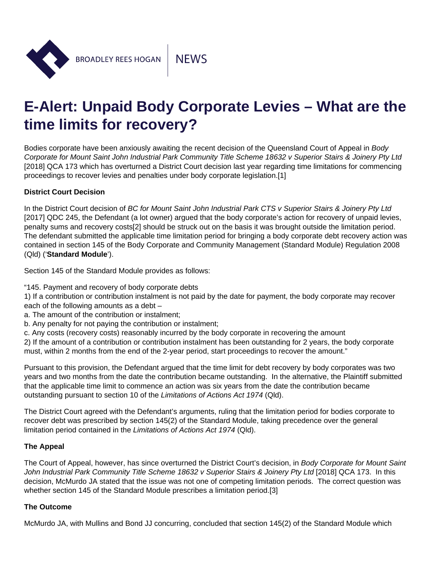## <span id="page-0-0"></span>E-Alert: Unpaid Body Corporate Levies – What are the time limits for recovery?

Bodies corporate have been anxiously awaiting the recent decision of the Queensland Court of Appeal in Body Corporate for Mount Saint John Industrial Park Community Title Scheme 18632 v Superior Stairs & Joinery Pty Ltd [2018] QCA 173 which has overturned a District Court decision last year regarding time limitations for commencing proceedings to recover levies and penalties under body corporate legislation[.\[1\]](#page-1-0)

## District Court Decision

In the District Court decision of BC for Mount Saint John Industrial Park CTS v Superior Stairs & Joinery Pty Ltd [2017] QDC 245, the Defendant (a lot owner) argued that the body corporate's action for recovery of unpaid levies, penalty sums and recovery costs[\[2\]](#page-1-0) should be struck out on the basis it was brought outside the limitation period. The defendant submitted the applicable time limitation period for bringing a body corporate debt recovery action was contained in section 145 of the Body Corporate and Community Management (Standard Module) Regulation 2008 (Qld) ('Standard Module ').

Section 145 of the Standard Module provides as follows:

"145. Payment and recovery of body corporate debts

1) If a contribution or contribution instalment is not paid by the date for payment, the body corporate may recover each of the following amounts as a debt –

- a. The amount of the contribution or instalment;
- b. Any penalty for not paying the contribution or instalment;
- c. Any costs (recovery costs) reasonably incurred by the body corporate in recovering the amount

2) If the amount of a contribution or contribution instalment has been outstanding for 2 years, the body corporate must, within 2 months from the end of the 2-year period, start proceedings to recover the amount."

Pursuant to this provision, the Defendant argued that the time limit for debt recovery by body corporates was two years and two months from the date the contribution became outstanding. In the alternative, the Plaintiff submitted that the applicable time limit to commence an action was six years from the date the contribution became outstanding pursuant to section 10 of the Limitations of Actions Act 1974 (Qld).

The District Court agreed with the Defendant's arguments, ruling that the limitation period for bodies corporate to recover debt was prescribed by section 145(2) of the Standard Module, taking precedence over the general limitation period contained in the Limitations of Actions Act 1974 (Qld).

## The Appeal

The Court of Appeal, however, has since overturned the District Court's decision, in Body Corporate for Mount Saint John Industrial Park Community Title Scheme 18632 v Superior Stairs & Joinery Pty Ltd [2018] QCA 173. In this decision, McMurdo JA stated that the issue was not one of competing limitation periods. The correct question was whether section 145 of the Standard Module prescribes a limitation period.[\[3\]](#page-1-0)

## The Outcome

McMurdo JA, with Mullins and Bond JJ concurring, concluded that section 145(2) of the Standard Module which